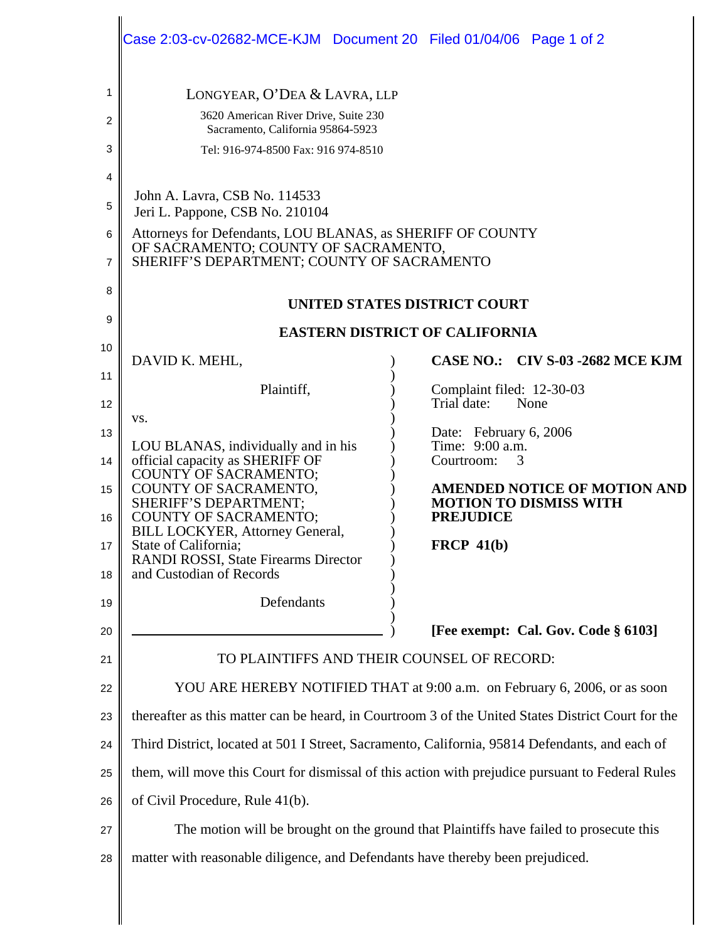|                                  | Case 2:03-cv-02682-MCE-KJM  Document 20  Filed 01/04/06  Page 1 of 2                                                                                                                                                                                                                                                           |                                                                                                                                                                                                                            |  |  |  |  |
|----------------------------------|--------------------------------------------------------------------------------------------------------------------------------------------------------------------------------------------------------------------------------------------------------------------------------------------------------------------------------|----------------------------------------------------------------------------------------------------------------------------------------------------------------------------------------------------------------------------|--|--|--|--|
| 1<br>2<br>3<br>4                 | LONGYEAR, O'DEA & LAVRA, LLP<br>3620 American River Drive, Suite 230<br>Sacramento, California 95864-5923<br>Tel: 916-974-8500 Fax: 916 974-8510                                                                                                                                                                               |                                                                                                                                                                                                                            |  |  |  |  |
| 5<br>6<br>7                      | John A. Lavra, CSB No. 114533<br>Jeri L. Pappone, CSB No. 210104<br>Attorneys for Defendants, LOU BLANAS, as SHERIFF OF COUNTY<br>OF SACRAMENTO; COUNTY OF SACRAMENTO,<br>SHERIFF'S DEPARTMENT; COUNTY OF SACRAMENTO                                                                                                           |                                                                                                                                                                                                                            |  |  |  |  |
| 8<br>9                           | <b>UNITED STATES DISTRICT COURT</b><br><b>EASTERN DISTRICT OF CALIFORNIA</b>                                                                                                                                                                                                                                                   |                                                                                                                                                                                                                            |  |  |  |  |
| 10<br>11                         | DAVID K. MEHL,                                                                                                                                                                                                                                                                                                                 | CASE NO.: CIV S-03 -2682 MCE KJM                                                                                                                                                                                           |  |  |  |  |
| 12<br>13<br>14<br>15<br>16<br>17 | Plaintiff,<br>VS.<br>LOU BLANAS, individually and in his<br>official capacity as SHERIFF OF<br><b>COUNTY OF SACRAMENTO;</b><br>COUNTY OF SACRAMENTO,<br>SHERIFF'S DEPARTMENT;<br><b>COUNTY OF SACRAMENTO;</b><br><b>BILL LOCKYER, Attorney General,</b><br>State of California;<br><b>RANDI ROSSI, State Firearms Director</b> | Complaint filed: 12-30-03<br>Trial date:<br>None<br>Date: February 6, 2006<br>Time: 9:00 a.m.<br>Courtroom:<br>3<br><b>AMENDED NOTICE OF MOTION AND</b><br><b>MOTION TO DISMISS WITH</b><br><b>PREJUDICE</b><br>FRCP 41(b) |  |  |  |  |
| 18<br>19                         | and Custodian of Records<br>Defendants                                                                                                                                                                                                                                                                                         |                                                                                                                                                                                                                            |  |  |  |  |
| 20<br>21                         | [Fee exempt: Cal. Gov. Code § 6103]<br>TO PLAINTIFFS AND THEIR COUNSEL OF RECORD:                                                                                                                                                                                                                                              |                                                                                                                                                                                                                            |  |  |  |  |
| 22<br>23                         | YOU ARE HEREBY NOTIFIED THAT at 9:00 a.m. on February 6, 2006, or as soon<br>thereafter as this matter can be heard, in Courtroom 3 of the United States District Court for the                                                                                                                                                |                                                                                                                                                                                                                            |  |  |  |  |
| 24                               | Third District, located at 501 I Street, Sacramento, California, 95814 Defendants, and each of                                                                                                                                                                                                                                 |                                                                                                                                                                                                                            |  |  |  |  |
| 25                               | them, will move this Court for dismissal of this action with prejudice pursuant to Federal Rules                                                                                                                                                                                                                               |                                                                                                                                                                                                                            |  |  |  |  |
| 26                               | of Civil Procedure, Rule 41(b).                                                                                                                                                                                                                                                                                                |                                                                                                                                                                                                                            |  |  |  |  |
| 27<br>28                         | The motion will be brought on the ground that Plaintiffs have failed to prosecute this<br>matter with reasonable diligence, and Defendants have thereby been prejudiced.                                                                                                                                                       |                                                                                                                                                                                                                            |  |  |  |  |